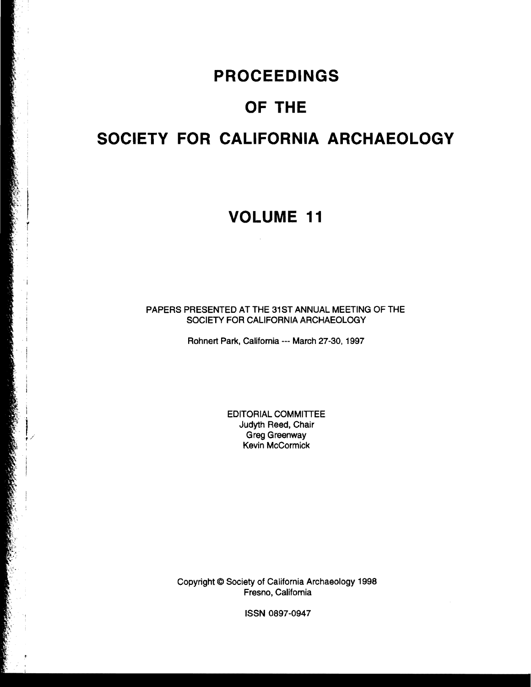### **PROCEEDINGS**

# **OF THE**

# **SOCIETY FOR CALIFORNIA ARCHAEOLOGY**

### **VOLUME 11**

PAPERS PRESENTED AT THE 31ST ANNUAL MEETING OF THE SOCIETY FOR CALIFORNIA ARCHAEOLOGY

Rohnert Park, California --- March 27-30,1997

EDITORIAL COMMITTEE Judyth Reed, Chair Greg Greenway Kevin McCormick

Copyright © Society of California Archaeology 1998 Fresno, California

ISSN 0897-0947

 $\bar{\psi}$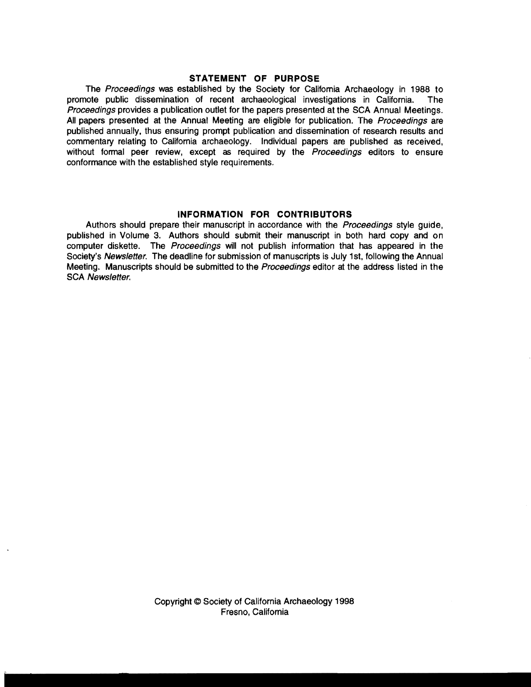#### **STATEMENT OF PURPOSE**

The Proceedings was established by the Society for California Archaeology in 1988 to promote public dissemination of recent archaeological investigations in California. The Proceedings provides a publication outlet for the papers presented at the SCA Annual Meetings. All papers presented at the Annual Meeting are eligible for publication. The Proceedings are published annually, thus ensuring prompt publication and dissemination of research results and commentary relating to California archaeology. Individual papers are published as received, without formal peer review, except as required by the Proceedings editors to ensure conformance with the established style requirements.

#### **INFORMATION FOR CONTRIBUTORS**

Authors should prepare their manuscript in accordance with the Proceedings style guide, published in Volume 3. Authors should submit their manuscript in both hard copy and on computer diskette. The Proceedings will not publish information that has appeared in the Society's Newsletter. The deadline for submission of manuscripts is July 1st. following the Annual Meeting. Manuscripts should be submitted to the Proceedings editor at the address listed in the **SCA Newsletter.**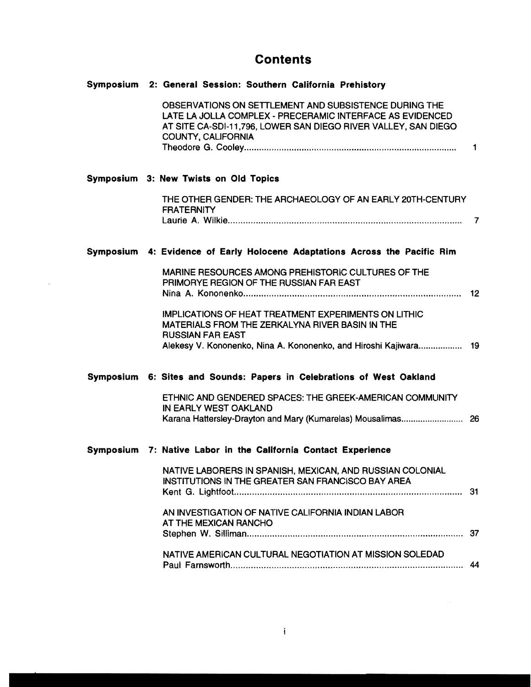### **Contents**

| Symposium 2: General Session: Southern California Prehistory                                                                                                                                                  |  |
|---------------------------------------------------------------------------------------------------------------------------------------------------------------------------------------------------------------|--|
| OBSERVATIONS ON SETTLEMENT AND SUBSISTENCE DURING THE<br>LATE LA JOLLA COMPLEX - PRECERAMIC INTERFACE AS EVIDENCED<br>AT SITE CA-SDI-11,796, LOWER SAN DIEGO RIVER VALLEY, SAN DIEGO<br>COUNTY, CALIFORNIA    |  |
| Symposium 3: New Twists on Old Topics                                                                                                                                                                         |  |
| THE OTHER GENDER: THE ARCHAEOLOGY OF AN EARLY 20TH-CENTURY<br><b>FRATERNITY</b>                                                                                                                               |  |
| Symposium 4: Evidence of Early Holocene Adaptations Across the Pacific Rim                                                                                                                                    |  |
| MARINE RESOURCES AMONG PREHISTORIC CULTURES OF THE<br>PRIMORYE REGION OF THE RUSSIAN FAR EAST                                                                                                                 |  |
| <b>IMPLICATIONS OF HEAT TREATMENT EXPERIMENTS ON LITHIC</b><br>MATERIALS FROM THE ZERKALYNA RIVER BASIN IN THE<br><b>RUSSIAN FAR EAST</b><br>Alekesy V. Kononenko, Nina A. Kononenko, and Hiroshi Kajiwara 19 |  |
| Symposium 6: Sites and Sounds: Papers in Celebrations of West Oakland                                                                                                                                         |  |
| ETHNIC AND GENDERED SPACES: THE GREEK-AMERICAN COMMUNITY<br>IN EARLY WEST OAKLAND                                                                                                                             |  |
| Symposium 7: Native Labor in the California Contact Experience                                                                                                                                                |  |
| NATIVE LABORERS IN SPANISH, MEXICAN, AND RUSSIAN COLONIAL<br>INSTITUTIONS IN THE GREATER SAN FRANCISCO BAY AREA                                                                                               |  |
| AN INVESTIGATION OF NATIVE CALIFORNIA INDIAN LABOR<br>AT THE MEXICAN RANCHO                                                                                                                                   |  |
| NATIVE AMERICAN CULTURAL NEGOTIATION AT MISSION SOLEDAD                                                                                                                                                       |  |

 $\sim 30$  km s  $^{-1}$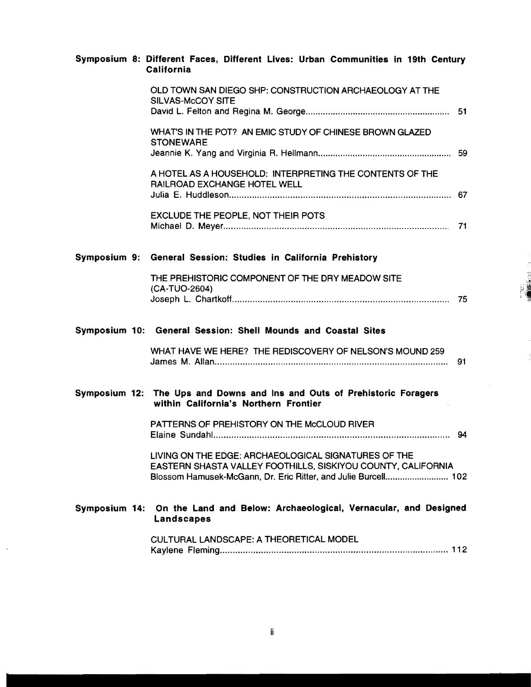|  |                   |  |  | Symposium 8: Different Faces, Different Lives: Urban Communities in 19th Century |  |  |
|--|-------------------|--|--|----------------------------------------------------------------------------------|--|--|
|  | <b>California</b> |  |  |                                                                                  |  |  |

|               | OLD TOWN SAN DIEGO SHP: CONSTRUCTION ARCHAEOLOGY AT THE<br>SILVAS-McCOY SITE                                                                                                           |  |
|---------------|----------------------------------------------------------------------------------------------------------------------------------------------------------------------------------------|--|
|               | WHAT'S IN THE POT? AN EMIC STUDY OF CHINESE BROWN GLAZED<br><b>STONEWARE</b>                                                                                                           |  |
|               | A HOTEL AS A HOUSEHOLD: INTERPRETING THE CONTENTS OF THE<br>RAILROAD EXCHANGE HOTEL WELL                                                                                               |  |
|               | EXCLUDE THE PEOPLE, NOT THEIR POTS                                                                                                                                                     |  |
|               | Symposium 9: General Session: Studies in California Prehistory                                                                                                                         |  |
|               | THE PREHISTORIC COMPONENT OF THE DRY MEADOW SITE<br>(CA-TUO-2604)                                                                                                                      |  |
|               | Symposium 10: General Session: Shell Mounds and Coastal Sites                                                                                                                          |  |
|               |                                                                                                                                                                                        |  |
|               | WHAT HAVE WE HERE? THE REDISCOVERY OF NELSON'S MOUND 259                                                                                                                               |  |
|               | Symposium 12: The Ups and Downs and Ins and Outs of Prehistoric Foragers<br>within California's Northern Frontier                                                                      |  |
|               | PATTERNS OF PREHISTORY ON THE McCLOUD RIVER                                                                                                                                            |  |
|               | LIVING ON THE EDGE: ARCHAEOLOGICAL SIGNATURES OF THE<br>EASTERN SHASTA VALLEY FOOTHILLS, SISKIYOU COUNTY, CALIFORNIA<br>Blossom Hamusek-McGann, Dr. Eric Ritter, and Julie Burcell 102 |  |
| Symposium 14: | On the Land and Below: Archaeological, Vernacular, and Designed<br>Landscapes                                                                                                          |  |

 $\sim$ 

 $\ddot{\phantom{a}}$